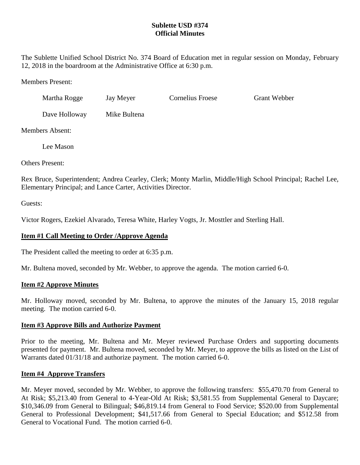## **Sublette USD #374 Official Minutes**

The Sublette Unified School District No. 374 Board of Education met in regular session on Monday, February 12, 2018 in the boardroom at the Administrative Office at 6:30 p.m.

Members Present:

| Martha Rogge  | Jay Meyer    | Cornelius Froese | <b>Grant Webber</b> |
|---------------|--------------|------------------|---------------------|
| Dave Holloway | Mike Bultena |                  |                     |

Members Absent:

Lee Mason

Others Present:

Rex Bruce, Superintendent; Andrea Cearley, Clerk; Monty Marlin, Middle/High School Principal; Rachel Lee, Elementary Principal; and Lance Carter, Activities Director.

Guests:

Victor Rogers, Ezekiel Alvarado, Teresa White, Harley Vogts, Jr. Mosttler and Sterling Hall.

## **Item #1 Call Meeting to Order /Approve Agenda**

The President called the meeting to order at 6:35 p.m.

Mr. Bultena moved, seconded by Mr. Webber, to approve the agenda. The motion carried 6-0.

#### **Item #2 Approve Minutes**

Mr. Holloway moved, seconded by Mr. Bultena, to approve the minutes of the January 15, 2018 regular meeting. The motion carried 6-0.

#### **Item #3 Approve Bills and Authorize Payment**

Prior to the meeting, Mr. Bultena and Mr. Meyer reviewed Purchase Orders and supporting documents presented for payment. Mr. Bultena moved, seconded by Mr. Meyer, to approve the bills as listed on the List of Warrants dated 01/31/18 and authorize payment. The motion carried 6-0.

#### **Item #4 Approve Transfers**

Mr. Meyer moved, seconded by Mr. Webber, to approve the following transfers: \$55,470.70 from General to At Risk; \$5,213.40 from General to 4-Year-Old At Risk; \$3,581.55 from Supplemental General to Daycare; \$10,346.09 from General to Bilingual; \$46,819.14 from General to Food Service; \$520.00 from Supplemental General to Professional Development; \$41,517.66 from General to Special Education; and \$512.58 from General to Vocational Fund. The motion carried 6-0.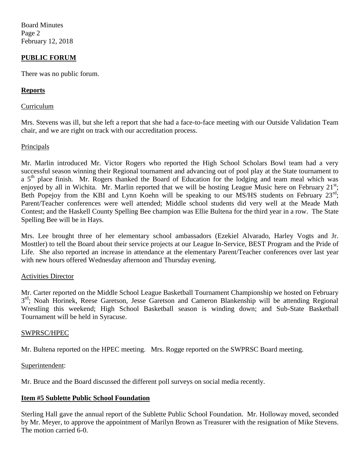Board Minutes Page 2 February 12, 2018

### **PUBLIC FORUM**

There was no public forum.

### **Reports**

#### Curriculum

Mrs. Stevens was ill, but she left a report that she had a face-to-face meeting with our Outside Validation Team chair, and we are right on track with our accreditation process.

#### Principals

Mr. Marlin introduced Mr. Victor Rogers who reported the High School Scholars Bowl team had a very successful season winning their Regional tournament and advancing out of pool play at the State tournament to a 5<sup>th</sup> place finish. Mr. Rogers thanked the Board of Education for the lodging and team meal which was enjoyed by all in Wichita. Mr. Marlin reported that we will be hosting League Music here on February 21st; Beth Popejoy from the KBI and Lynn Koehn will be speaking to our MS/HS students on February 23<sup>rd</sup>; Parent/Teacher conferences were well attended; Middle school students did very well at the Meade Math Contest; and the Haskell County Spelling Bee champion was Ellie Bultena for the third year in a row. The State Spelling Bee will be in Hays.

Mrs. Lee brought three of her elementary school ambassadors (Ezekiel Alvarado, Harley Vogts and Jr. Mosttler) to tell the Board about their service projects at our League In-Service, BEST Program and the Pride of Life. She also reported an increase in attendance at the elementary Parent/Teacher conferences over last year with new hours offered Wednesday afternoon and Thursday evening.

#### Activities Director

Mr. Carter reported on the Middle School League Basketball Tournament Championship we hosted on February 3<sup>rd</sup>; Noah Horinek, Reese Garetson, Jesse Garetson and Cameron Blankenship will be attending Regional Wrestling this weekend; High School Basketball season is winding down; and Sub-State Basketball Tournament will be held in Syracuse.

#### SWPRSC/HPEC

Mr. Bultena reported on the HPEC meeting. Mrs. Rogge reported on the SWPRSC Board meeting.

#### Superintendent:

Mr. Bruce and the Board discussed the different poll surveys on social media recently.

#### **Item #5 Sublette Public School Foundation**

Sterling Hall gave the annual report of the Sublette Public School Foundation. Mr. Holloway moved, seconded by Mr. Meyer, to approve the appointment of Marilyn Brown as Treasurer with the resignation of Mike Stevens. The motion carried 6-0.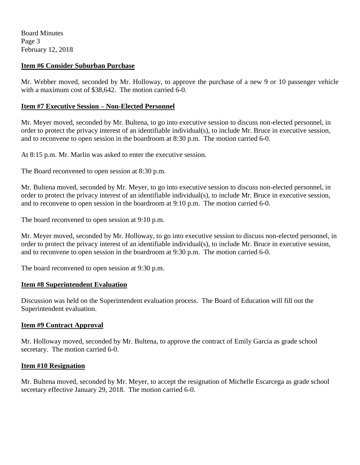Board Minutes Page 3 February 12, 2018

### **Item #6 Consider Suburban Purchase**

Mr. Webber moved, seconded by Mr. Holloway, to approve the purchase of a new 9 or 10 passenger vehicle with a maximum cost of \$38,642. The motion carried 6-0.

### **Item #7 Executive Session – Non-Elected Personnel**

Mr. Meyer moved, seconded by Mr. Bultena, to go into executive session to discuss non-elected personnel, in order to protect the privacy interest of an identifiable individual(s), to include Mr. Bruce in executive session, and to reconvene to open session in the boardroom at 8:30 p.m. The motion carried 6-0.

At 8:15 p.m. Mr. Marlin was asked to enter the executive session.

The Board reconvened to open session at 8:30 p.m.

Mr. Bultena moved, seconded by Mr. Meyer, to go into executive session to discuss non-elected personnel, in order to protect the privacy interest of an identifiable individual(s), to include Mr. Bruce in executive session, and to reconvene to open session in the boardroom at 9:10 p.m. The motion carried 6-0.

The board reconvened to open session at 9:10 p.m.

Mr. Meyer moved, seconded by Mr. Holloway, to go into executive session to discuss non-elected personnel, in order to protect the privacy interest of an identifiable individual(s), to include Mr. Bruce in executive session, and to reconvene to open session in the boardroom at 9:30 p.m. The motion carried 6-0.

The board reconvened to open session at 9:30 p.m.

#### **Item #8 Superintendent Evaluation**

Discussion was held on the Superintendent evaluation process. The Board of Education will fill out the Superintendent evaluation.

#### **Item #9 Contract Approval**

Mr. Holloway moved, seconded by Mr. Bultena, to approve the contract of Emily Garcia as grade school secretary. The motion carried 6-0.

#### **Item #10 Resignation**

Mr. Bultena moved, seconded by Mr. Meyer, to accept the resignation of Michelle Escarcega as grade school secretary effective January 29, 2018. The motion carried 6-0.